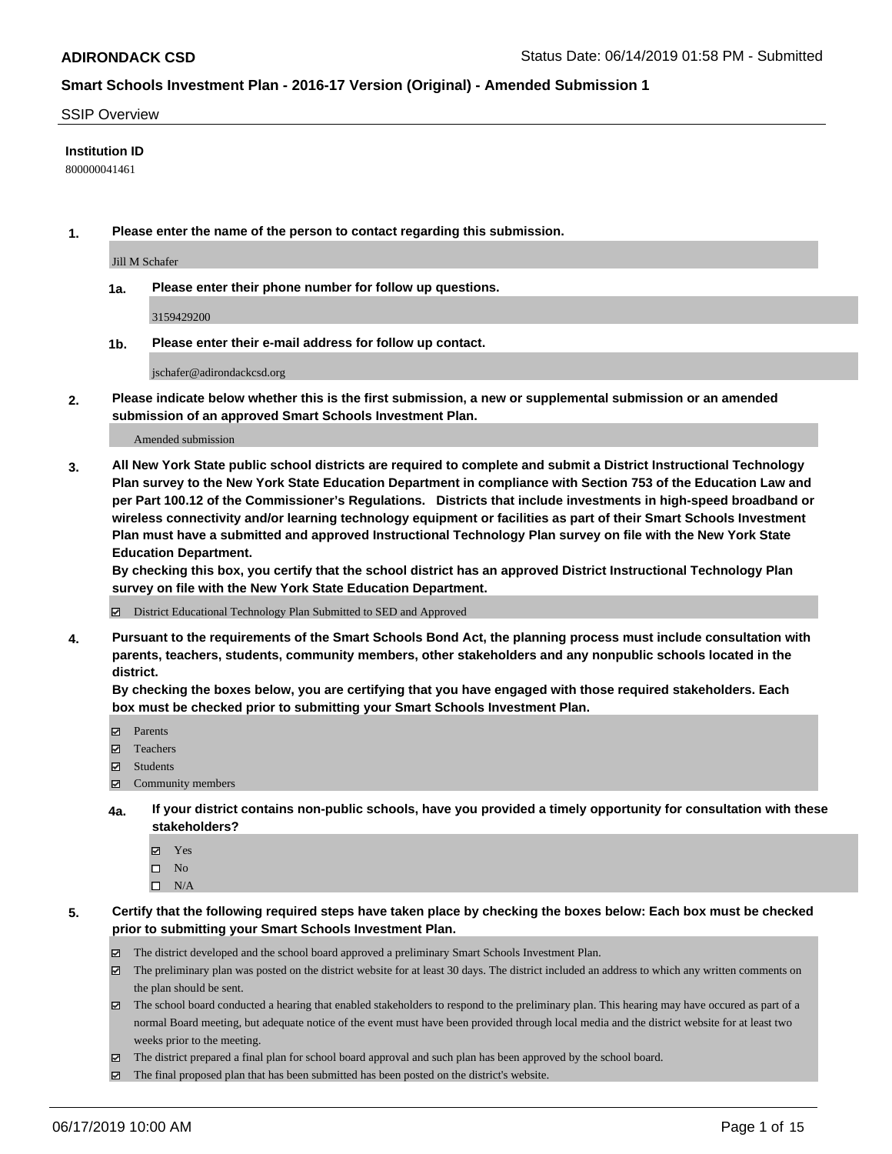#### SSIP Overview

### **Institution ID**

800000041461

**1. Please enter the name of the person to contact regarding this submission.**

Jill M Schafer

**1a. Please enter their phone number for follow up questions.**

3159429200

**1b. Please enter their e-mail address for follow up contact.**

jschafer@adirondackcsd.org

**2. Please indicate below whether this is the first submission, a new or supplemental submission or an amended submission of an approved Smart Schools Investment Plan.**

#### Amended submission

**3. All New York State public school districts are required to complete and submit a District Instructional Technology Plan survey to the New York State Education Department in compliance with Section 753 of the Education Law and per Part 100.12 of the Commissioner's Regulations. Districts that include investments in high-speed broadband or wireless connectivity and/or learning technology equipment or facilities as part of their Smart Schools Investment Plan must have a submitted and approved Instructional Technology Plan survey on file with the New York State Education Department.** 

**By checking this box, you certify that the school district has an approved District Instructional Technology Plan survey on file with the New York State Education Department.**

District Educational Technology Plan Submitted to SED and Approved

**4. Pursuant to the requirements of the Smart Schools Bond Act, the planning process must include consultation with parents, teachers, students, community members, other stakeholders and any nonpublic schools located in the district.** 

**By checking the boxes below, you are certifying that you have engaged with those required stakeholders. Each box must be checked prior to submitting your Smart Schools Investment Plan.**

- Parents
- Teachers
- Students
- Community members
- **4a. If your district contains non-public schools, have you provided a timely opportunity for consultation with these stakeholders?**
	- Yes
	- $\square$  No
	- $\square$  N/A
- **5. Certify that the following required steps have taken place by checking the boxes below: Each box must be checked prior to submitting your Smart Schools Investment Plan.**
	- The district developed and the school board approved a preliminary Smart Schools Investment Plan.
	- $\boxtimes$  The preliminary plan was posted on the district website for at least 30 days. The district included an address to which any written comments on the plan should be sent.
	- $\boxtimes$  The school board conducted a hearing that enabled stakeholders to respond to the preliminary plan. This hearing may have occured as part of a normal Board meeting, but adequate notice of the event must have been provided through local media and the district website for at least two weeks prior to the meeting.
	- The district prepared a final plan for school board approval and such plan has been approved by the school board.
	- $\boxtimes$  The final proposed plan that has been submitted has been posted on the district's website.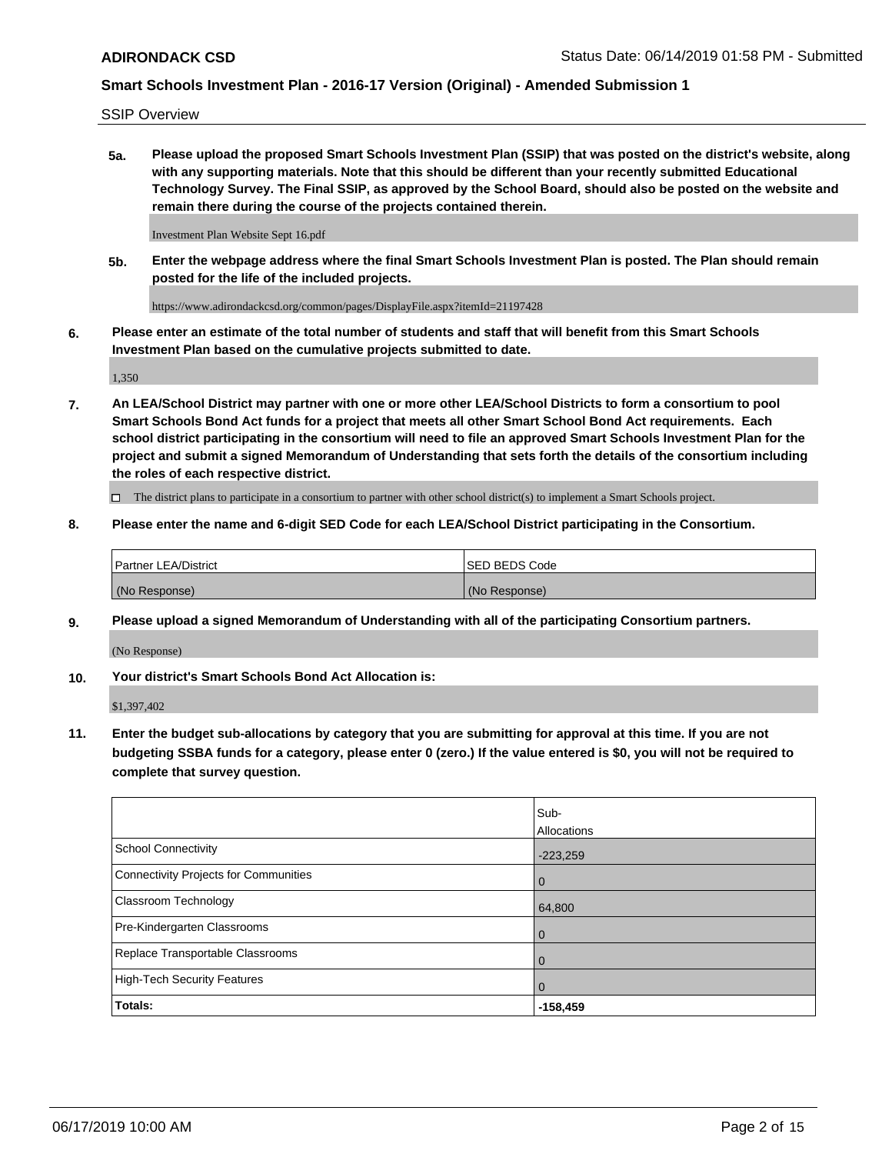SSIP Overview

**5a. Please upload the proposed Smart Schools Investment Plan (SSIP) that was posted on the district's website, along with any supporting materials. Note that this should be different than your recently submitted Educational Technology Survey. The Final SSIP, as approved by the School Board, should also be posted on the website and remain there during the course of the projects contained therein.**

Investment Plan Website Sept 16.pdf

**5b. Enter the webpage address where the final Smart Schools Investment Plan is posted. The Plan should remain posted for the life of the included projects.**

https://www.adirondackcsd.org/common/pages/DisplayFile.aspx?itemId=21197428

**6. Please enter an estimate of the total number of students and staff that will benefit from this Smart Schools Investment Plan based on the cumulative projects submitted to date.**

1,350

**7. An LEA/School District may partner with one or more other LEA/School Districts to form a consortium to pool Smart Schools Bond Act funds for a project that meets all other Smart School Bond Act requirements. Each school district participating in the consortium will need to file an approved Smart Schools Investment Plan for the project and submit a signed Memorandum of Understanding that sets forth the details of the consortium including the roles of each respective district.**

 $\Box$  The district plans to participate in a consortium to partner with other school district(s) to implement a Smart Schools project.

### **8. Please enter the name and 6-digit SED Code for each LEA/School District participating in the Consortium.**

| Partner LEA/District | <b>ISED BEDS Code</b> |
|----------------------|-----------------------|
| (No Response)        | (No Response)         |

#### **9. Please upload a signed Memorandum of Understanding with all of the participating Consortium partners.**

(No Response)

**10. Your district's Smart Schools Bond Act Allocation is:**

\$1,397,402

**11. Enter the budget sub-allocations by category that you are submitting for approval at this time. If you are not budgeting SSBA funds for a category, please enter 0 (zero.) If the value entered is \$0, you will not be required to complete that survey question.**

|                                       | Sub-<br>Allocations |
|---------------------------------------|---------------------|
| School Connectivity                   | $-223,259$          |
| Connectivity Projects for Communities | $\overline{0}$      |
| <b>Classroom Technology</b>           | 64,800              |
| Pre-Kindergarten Classrooms           | $\overline{0}$      |
| Replace Transportable Classrooms      | $\Omega$            |
| High-Tech Security Features           | $\overline{0}$      |
| Totals:                               | $-158,459$          |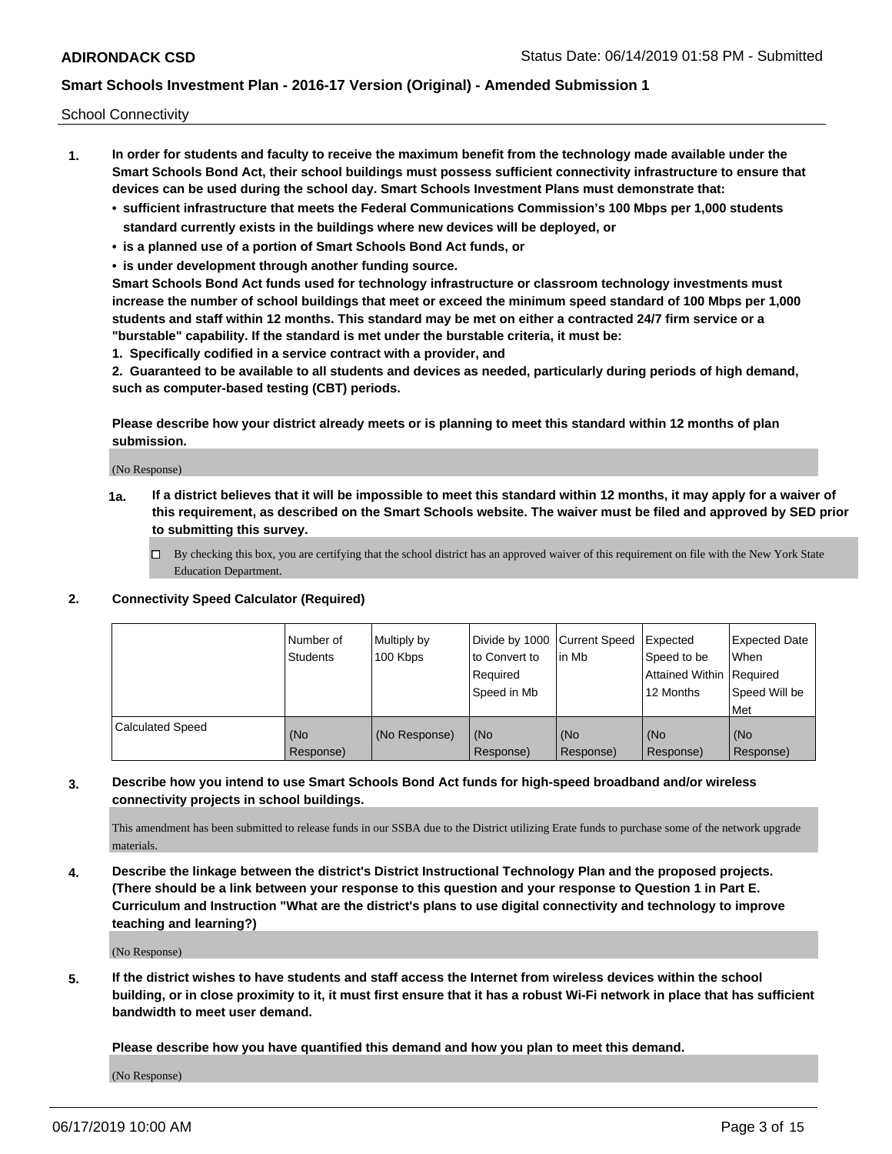School Connectivity

- **1. In order for students and faculty to receive the maximum benefit from the technology made available under the Smart Schools Bond Act, their school buildings must possess sufficient connectivity infrastructure to ensure that devices can be used during the school day. Smart Schools Investment Plans must demonstrate that:**
	- **• sufficient infrastructure that meets the Federal Communications Commission's 100 Mbps per 1,000 students standard currently exists in the buildings where new devices will be deployed, or**
	- **• is a planned use of a portion of Smart Schools Bond Act funds, or**
	- **• is under development through another funding source.**

**Smart Schools Bond Act funds used for technology infrastructure or classroom technology investments must increase the number of school buildings that meet or exceed the minimum speed standard of 100 Mbps per 1,000 students and staff within 12 months. This standard may be met on either a contracted 24/7 firm service or a "burstable" capability. If the standard is met under the burstable criteria, it must be:**

**1. Specifically codified in a service contract with a provider, and**

**2. Guaranteed to be available to all students and devices as needed, particularly during periods of high demand, such as computer-based testing (CBT) periods.**

**Please describe how your district already meets or is planning to meet this standard within 12 months of plan submission.**

(No Response)

**1a. If a district believes that it will be impossible to meet this standard within 12 months, it may apply for a waiver of this requirement, as described on the Smart Schools website. The waiver must be filed and approved by SED prior to submitting this survey.**

 $\Box$  By checking this box, you are certifying that the school district has an approved waiver of this requirement on file with the New York State Education Department.

### **2. Connectivity Speed Calculator (Required)**

|                         | Number of<br>Students | Multiply by<br>100 Kbps | Divide by 1000 Current Speed<br>to Convert to<br>Required<br>Speed in Mb | lin Mb           | Expected<br>Speed to be<br>Attained Within   Required<br>12 Months | <b>Expected Date</b><br>When<br>Speed Will be<br>Met |
|-------------------------|-----------------------|-------------------------|--------------------------------------------------------------------------|------------------|--------------------------------------------------------------------|------------------------------------------------------|
| <b>Calculated Speed</b> | (No<br>Response)      | (No Response)           | (No<br>Response)                                                         | (No<br>Response) | (No<br>Response)                                                   | (No<br>Response)                                     |

### **3. Describe how you intend to use Smart Schools Bond Act funds for high-speed broadband and/or wireless connectivity projects in school buildings.**

This amendment has been submitted to release funds in our SSBA due to the District utilizing Erate funds to purchase some of the network upgrade materials.

**4. Describe the linkage between the district's District Instructional Technology Plan and the proposed projects. (There should be a link between your response to this question and your response to Question 1 in Part E. Curriculum and Instruction "What are the district's plans to use digital connectivity and technology to improve teaching and learning?)**

(No Response)

**5. If the district wishes to have students and staff access the Internet from wireless devices within the school building, or in close proximity to it, it must first ensure that it has a robust Wi-Fi network in place that has sufficient bandwidth to meet user demand.**

**Please describe how you have quantified this demand and how you plan to meet this demand.**

(No Response)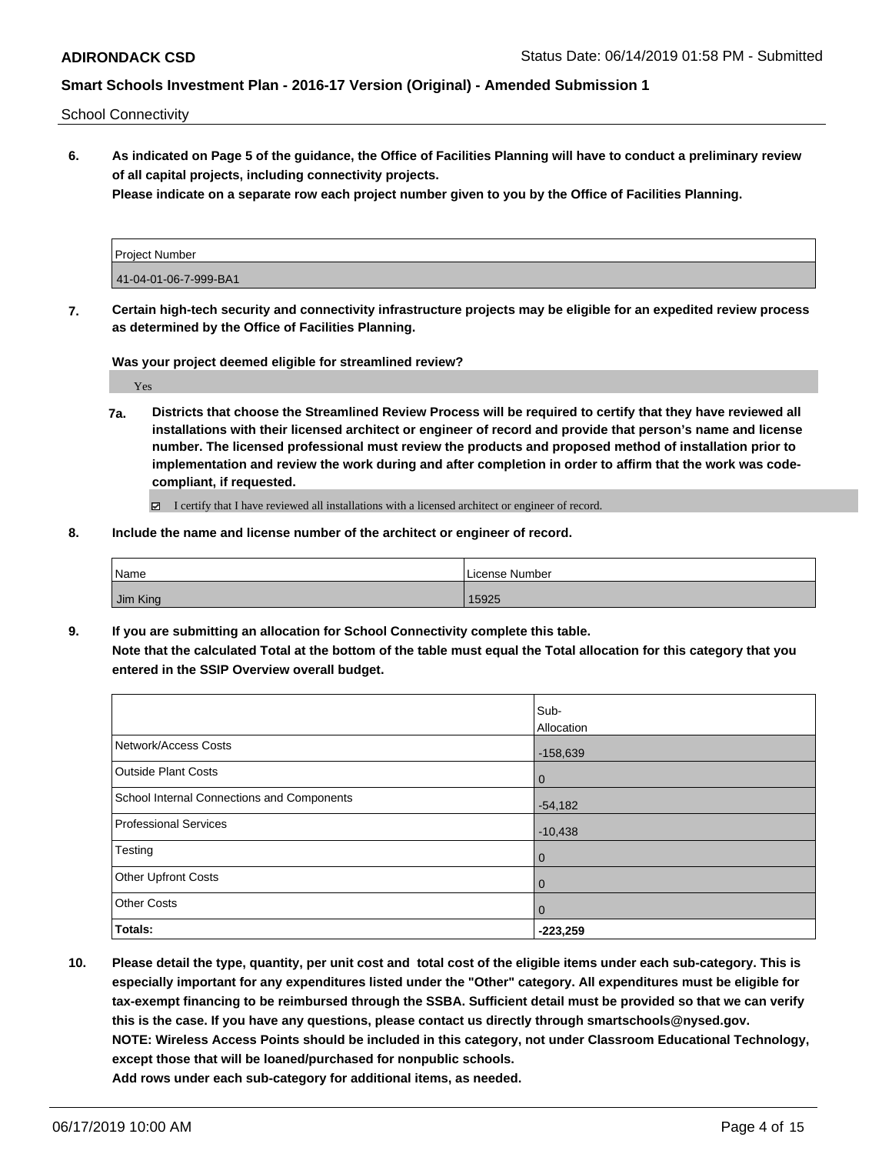School Connectivity

**6. As indicated on Page 5 of the guidance, the Office of Facilities Planning will have to conduct a preliminary review of all capital projects, including connectivity projects.**

**Please indicate on a separate row each project number given to you by the Office of Facilities Planning.**

| Project Number        |  |
|-----------------------|--|
| 41-04-01-06-7-999-BA1 |  |

**7. Certain high-tech security and connectivity infrastructure projects may be eligible for an expedited review process as determined by the Office of Facilities Planning.**

**Was your project deemed eligible for streamlined review?**

Yes

**7a. Districts that choose the Streamlined Review Process will be required to certify that they have reviewed all installations with their licensed architect or engineer of record and provide that person's name and license number. The licensed professional must review the products and proposed method of installation prior to implementation and review the work during and after completion in order to affirm that the work was codecompliant, if requested.**

I certify that I have reviewed all installations with a licensed architect or engineer of record.

**8. Include the name and license number of the architect or engineer of record.**

| Name     | License Number |
|----------|----------------|
| Jim King | 15925          |

**9. If you are submitting an allocation for School Connectivity complete this table. Note that the calculated Total at the bottom of the table must equal the Total allocation for this category that you entered in the SSIP Overview overall budget.** 

|                                            | Sub-           |
|--------------------------------------------|----------------|
|                                            | Allocation     |
| Network/Access Costs                       | $-158,639$     |
| <b>Outside Plant Costs</b>                 | $\overline{0}$ |
| School Internal Connections and Components | $-54,182$      |
| Professional Services                      | $-10,438$      |
| Testing                                    | $\mathbf 0$    |
| Other Upfront Costs                        | $\mathbf 0$    |
| <b>Other Costs</b>                         | $\overline{0}$ |
| Totals:                                    | $-223,259$     |

**10. Please detail the type, quantity, per unit cost and total cost of the eligible items under each sub-category. This is especially important for any expenditures listed under the "Other" category. All expenditures must be eligible for tax-exempt financing to be reimbursed through the SSBA. Sufficient detail must be provided so that we can verify this is the case. If you have any questions, please contact us directly through smartschools@nysed.gov. NOTE: Wireless Access Points should be included in this category, not under Classroom Educational Technology, except those that will be loaned/purchased for nonpublic schools. Add rows under each sub-category for additional items, as needed.**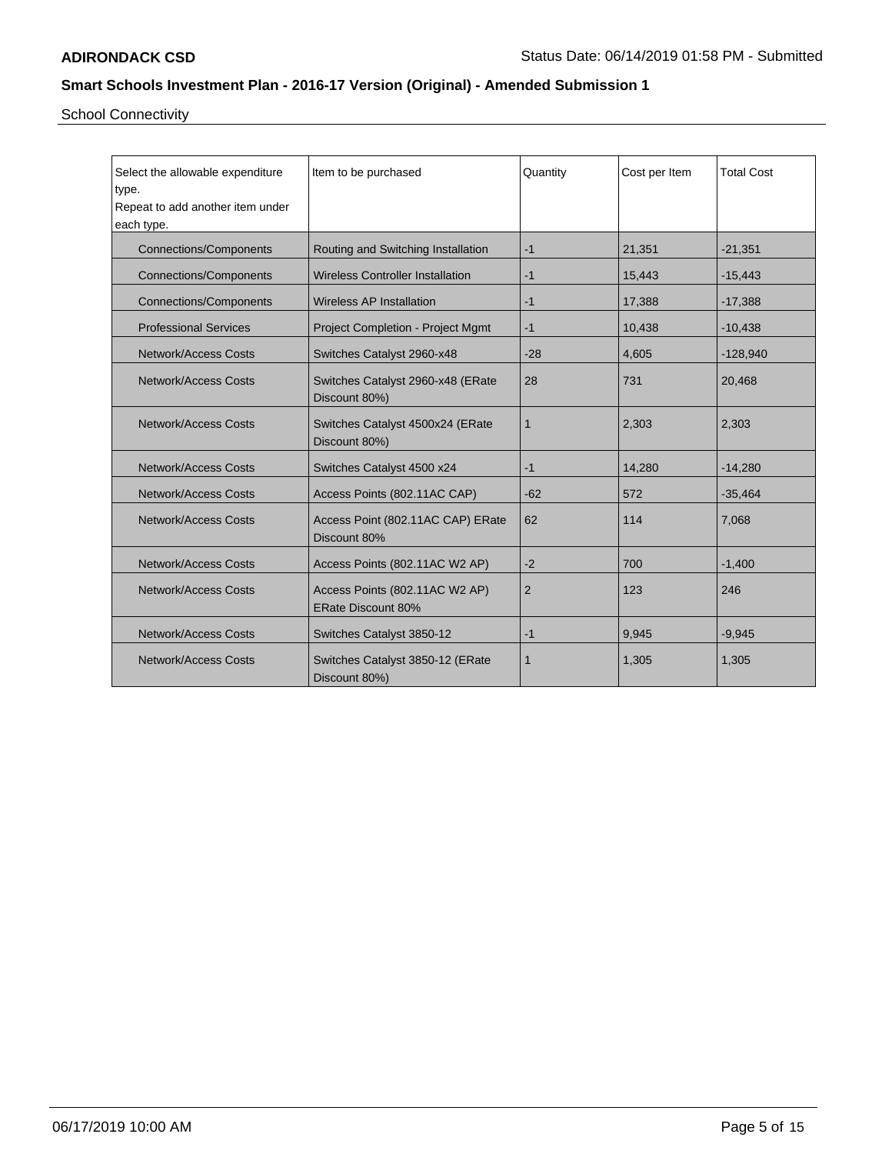School Connectivity

| Select the allowable expenditure<br>type.<br>Repeat to add another item under<br>each type. | Item to be purchased                                 | Quantity     | Cost per Item | <b>Total Cost</b> |
|---------------------------------------------------------------------------------------------|------------------------------------------------------|--------------|---------------|-------------------|
| <b>Connections/Components</b>                                                               | Routing and Switching Installation                   | $-1$         | 21,351        | $-21,351$         |
| <b>Connections/Components</b>                                                               | <b>Wireless Controller Installation</b>              | $-1$         | 15,443        | $-15,443$         |
| <b>Connections/Components</b>                                                               | <b>Wireless AP Installation</b>                      | $-1$         | 17,388        | $-17,388$         |
| <b>Professional Services</b>                                                                | <b>Project Completion - Project Mgmt</b>             | $-1$         | 10,438        | $-10,438$         |
| <b>Network/Access Costs</b>                                                                 | Switches Catalyst 2960-x48                           | $-28$        | 4,605         | $-128,940$        |
| <b>Network/Access Costs</b>                                                                 | Switches Catalyst 2960-x48 (ERate<br>Discount 80%)   | 28           | 731           | 20,468            |
| Network/Access Costs                                                                        | Switches Catalyst 4500x24 (ERate<br>Discount 80%)    | $\mathbf{1}$ | 2,303         | 2,303             |
| <b>Network/Access Costs</b>                                                                 | Switches Catalyst 4500 x24                           | $-1$         | 14,280        | $-14,280$         |
| <b>Network/Access Costs</b>                                                                 | Access Points (802.11AC CAP)                         | $-62$        | 572           | $-35,464$         |
| Network/Access Costs                                                                        | Access Point (802.11AC CAP) ERate<br>Discount 80%    | 62           | 114           | 7,068             |
| <b>Network/Access Costs</b>                                                                 | Access Points (802.11AC W2 AP)                       | $-2$         | 700           | $-1,400$          |
| Network/Access Costs                                                                        | Access Points (802.11AC W2 AP)<br>ERate Discount 80% | 2            | 123           | 246               |
| <b>Network/Access Costs</b>                                                                 | Switches Catalyst 3850-12                            | $-1$         | 9,945         | $-9,945$          |
| <b>Network/Access Costs</b>                                                                 | Switches Catalyst 3850-12 (ERate<br>Discount 80%)    | $\mathbf{1}$ | 1,305         | 1,305             |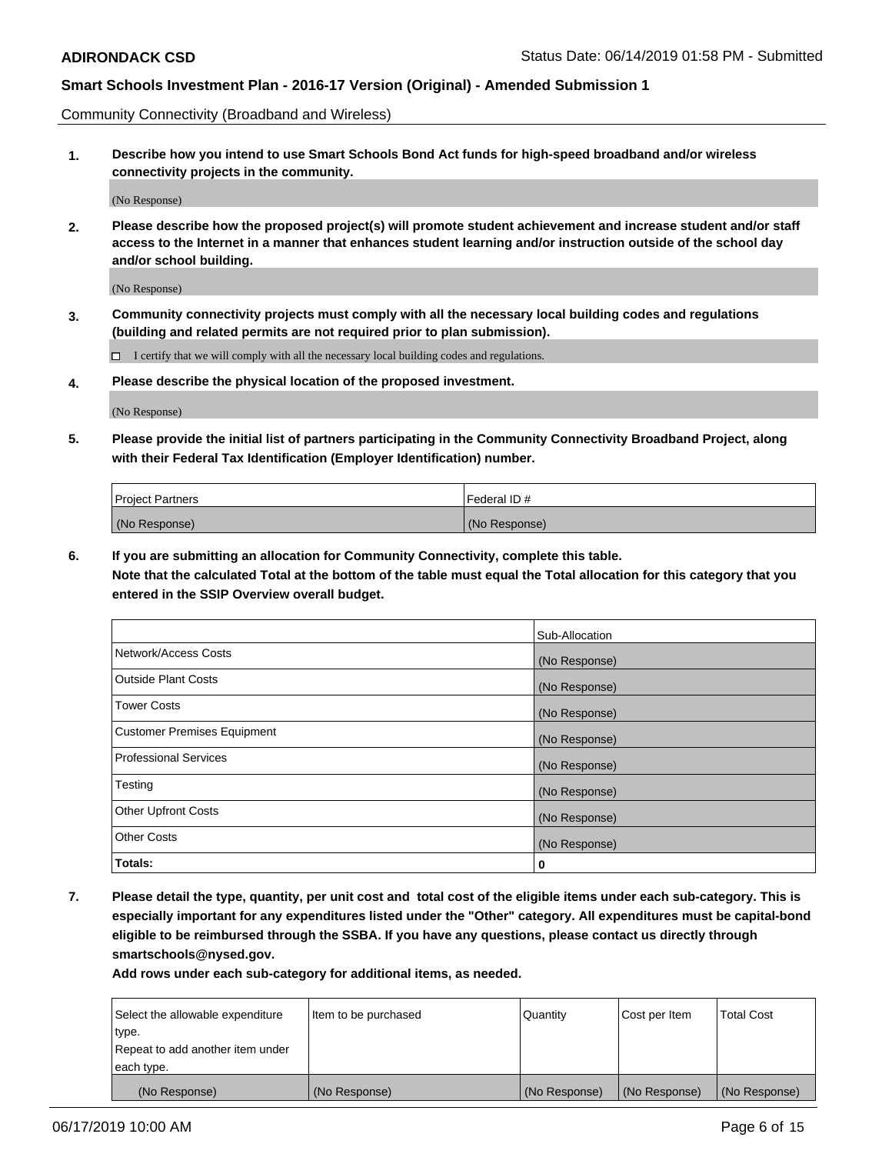Community Connectivity (Broadband and Wireless)

**1. Describe how you intend to use Smart Schools Bond Act funds for high-speed broadband and/or wireless connectivity projects in the community.**

(No Response)

**2. Please describe how the proposed project(s) will promote student achievement and increase student and/or staff access to the Internet in a manner that enhances student learning and/or instruction outside of the school day and/or school building.**

(No Response)

**3. Community connectivity projects must comply with all the necessary local building codes and regulations (building and related permits are not required prior to plan submission).**

 $\Box$  I certify that we will comply with all the necessary local building codes and regulations.

**4. Please describe the physical location of the proposed investment.**

(No Response)

**5. Please provide the initial list of partners participating in the Community Connectivity Broadband Project, along with their Federal Tax Identification (Employer Identification) number.**

| <b>Project Partners</b> | l Federal ID # |
|-------------------------|----------------|
| (No Response)           | (No Response)  |

**6. If you are submitting an allocation for Community Connectivity, complete this table.**

**Note that the calculated Total at the bottom of the table must equal the Total allocation for this category that you entered in the SSIP Overview overall budget.**

|                                    | Sub-Allocation |
|------------------------------------|----------------|
| Network/Access Costs               | (No Response)  |
| <b>Outside Plant Costs</b>         | (No Response)  |
| <b>Tower Costs</b>                 | (No Response)  |
| <b>Customer Premises Equipment</b> | (No Response)  |
| <b>Professional Services</b>       | (No Response)  |
| Testing                            | (No Response)  |
| <b>Other Upfront Costs</b>         | (No Response)  |
| <b>Other Costs</b>                 | (No Response)  |
| Totals:                            | 0              |

**7. Please detail the type, quantity, per unit cost and total cost of the eligible items under each sub-category. This is especially important for any expenditures listed under the "Other" category. All expenditures must be capital-bond eligible to be reimbursed through the SSBA. If you have any questions, please contact us directly through smartschools@nysed.gov.**

| Select the allowable expenditure | Item to be purchased | Quantity      | Cost per Item | <b>Total Cost</b> |
|----------------------------------|----------------------|---------------|---------------|-------------------|
| type.                            |                      |               |               |                   |
| Repeat to add another item under |                      |               |               |                   |
| each type.                       |                      |               |               |                   |
| (No Response)                    | (No Response)        | (No Response) | (No Response) | (No Response)     |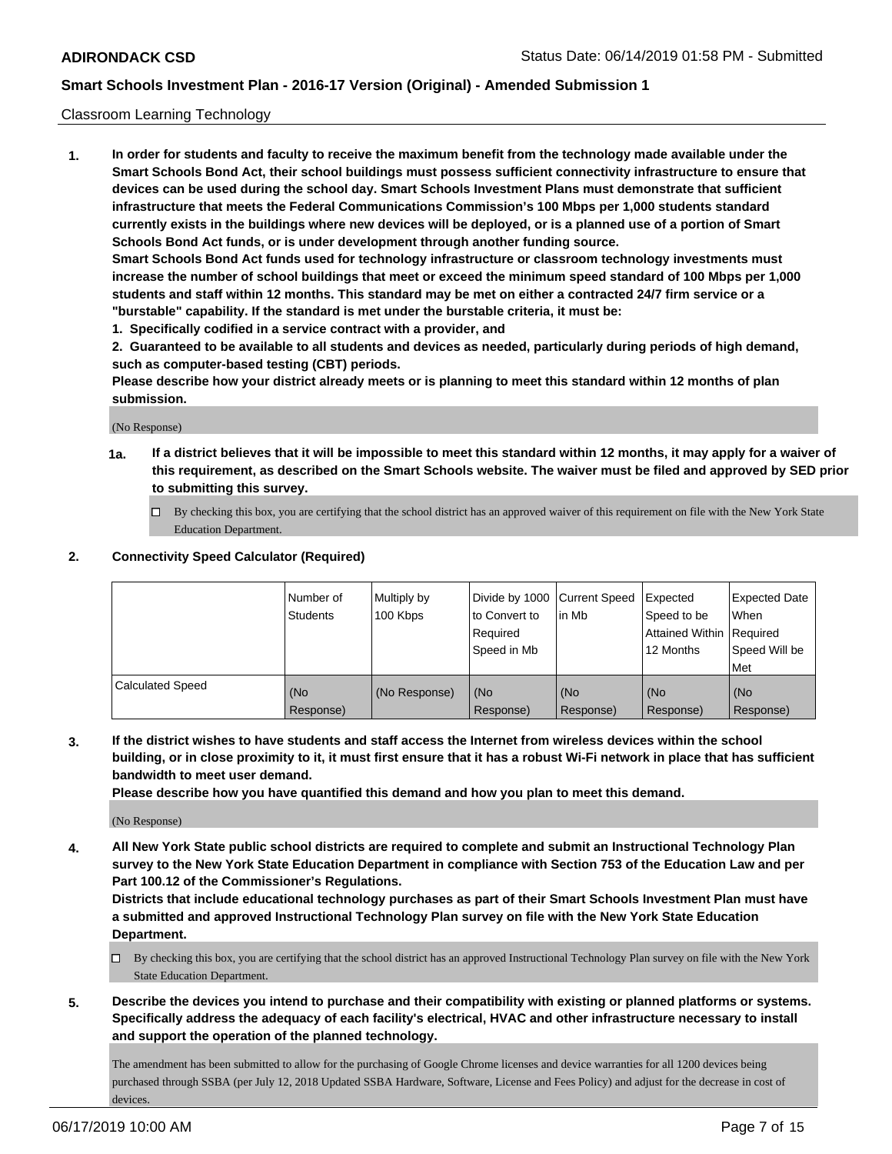### Classroom Learning Technology

**1. In order for students and faculty to receive the maximum benefit from the technology made available under the Smart Schools Bond Act, their school buildings must possess sufficient connectivity infrastructure to ensure that devices can be used during the school day. Smart Schools Investment Plans must demonstrate that sufficient infrastructure that meets the Federal Communications Commission's 100 Mbps per 1,000 students standard currently exists in the buildings where new devices will be deployed, or is a planned use of a portion of Smart Schools Bond Act funds, or is under development through another funding source. Smart Schools Bond Act funds used for technology infrastructure or classroom technology investments must increase the number of school buildings that meet or exceed the minimum speed standard of 100 Mbps per 1,000 students and staff within 12 months. This standard may be met on either a contracted 24/7 firm service or a**

**"burstable" capability. If the standard is met under the burstable criteria, it must be:**

**1. Specifically codified in a service contract with a provider, and**

**2. Guaranteed to be available to all students and devices as needed, particularly during periods of high demand, such as computer-based testing (CBT) periods.**

**Please describe how your district already meets or is planning to meet this standard within 12 months of plan submission.**

(No Response)

- **1a. If a district believes that it will be impossible to meet this standard within 12 months, it may apply for a waiver of this requirement, as described on the Smart Schools website. The waiver must be filed and approved by SED prior to submitting this survey.**
	- By checking this box, you are certifying that the school district has an approved waiver of this requirement on file with the New York State Education Department.

### **2. Connectivity Speed Calculator (Required)**

|                         | l Number of<br>Students | Multiply by<br>100 Kbps | to Convert to<br>Required<br>Speed in Mb | Divide by 1000 Current Speed Expected<br>l in Mb | Speed to be<br>Attained Within Required<br>12 Months | <b>Expected Date</b><br>When<br>Speed Will be<br>Met |
|-------------------------|-------------------------|-------------------------|------------------------------------------|--------------------------------------------------|------------------------------------------------------|------------------------------------------------------|
| <b>Calculated Speed</b> | (No<br>Response)        | (No Response)           | (No<br>Response)                         | (No<br>Response)                                 | (No<br>Response)                                     | (No<br>Response)                                     |

**3. If the district wishes to have students and staff access the Internet from wireless devices within the school building, or in close proximity to it, it must first ensure that it has a robust Wi-Fi network in place that has sufficient bandwidth to meet user demand.**

**Please describe how you have quantified this demand and how you plan to meet this demand.**

(No Response)

**4. All New York State public school districts are required to complete and submit an Instructional Technology Plan survey to the New York State Education Department in compliance with Section 753 of the Education Law and per Part 100.12 of the Commissioner's Regulations.**

**Districts that include educational technology purchases as part of their Smart Schools Investment Plan must have a submitted and approved Instructional Technology Plan survey on file with the New York State Education Department.**

- $\Box$  By checking this box, you are certifying that the school district has an approved Instructional Technology Plan survey on file with the New York State Education Department.
- **5. Describe the devices you intend to purchase and their compatibility with existing or planned platforms or systems. Specifically address the adequacy of each facility's electrical, HVAC and other infrastructure necessary to install and support the operation of the planned technology.**

The amendment has been submitted to allow for the purchasing of Google Chrome licenses and device warranties for all 1200 devices being purchased through SSBA (per July 12, 2018 Updated SSBA Hardware, Software, License and Fees Policy) and adjust for the decrease in cost of devices.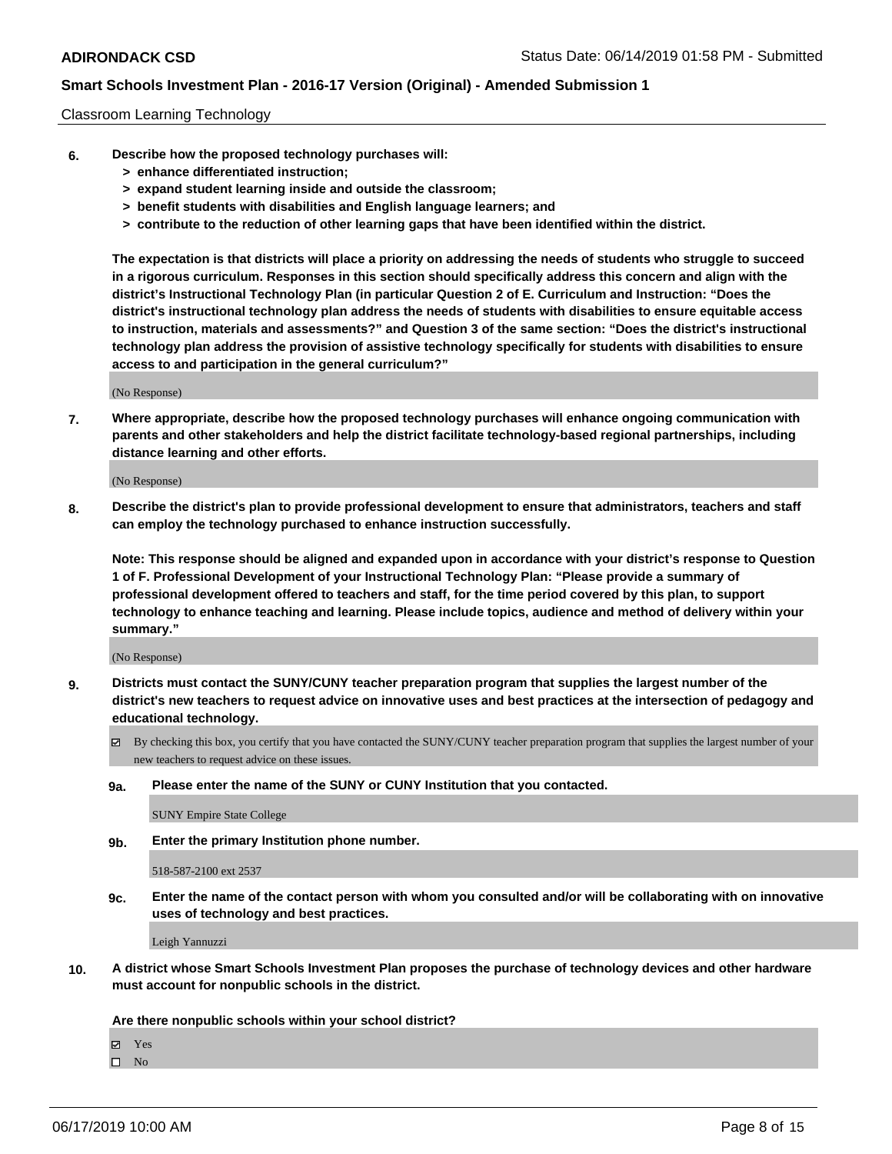### Classroom Learning Technology

- **6. Describe how the proposed technology purchases will:**
	- **> enhance differentiated instruction;**
	- **> expand student learning inside and outside the classroom;**
	- **> benefit students with disabilities and English language learners; and**
	- **> contribute to the reduction of other learning gaps that have been identified within the district.**

**The expectation is that districts will place a priority on addressing the needs of students who struggle to succeed in a rigorous curriculum. Responses in this section should specifically address this concern and align with the district's Instructional Technology Plan (in particular Question 2 of E. Curriculum and Instruction: "Does the district's instructional technology plan address the needs of students with disabilities to ensure equitable access to instruction, materials and assessments?" and Question 3 of the same section: "Does the district's instructional technology plan address the provision of assistive technology specifically for students with disabilities to ensure access to and participation in the general curriculum?"**

(No Response)

**7. Where appropriate, describe how the proposed technology purchases will enhance ongoing communication with parents and other stakeholders and help the district facilitate technology-based regional partnerships, including distance learning and other efforts.**

(No Response)

**8. Describe the district's plan to provide professional development to ensure that administrators, teachers and staff can employ the technology purchased to enhance instruction successfully.**

**Note: This response should be aligned and expanded upon in accordance with your district's response to Question 1 of F. Professional Development of your Instructional Technology Plan: "Please provide a summary of professional development offered to teachers and staff, for the time period covered by this plan, to support technology to enhance teaching and learning. Please include topics, audience and method of delivery within your summary."**

(No Response)

- **9. Districts must contact the SUNY/CUNY teacher preparation program that supplies the largest number of the district's new teachers to request advice on innovative uses and best practices at the intersection of pedagogy and educational technology.**
	- By checking this box, you certify that you have contacted the SUNY/CUNY teacher preparation program that supplies the largest number of your new teachers to request advice on these issues.
	- **9a. Please enter the name of the SUNY or CUNY Institution that you contacted.**

SUNY Empire State College

**9b. Enter the primary Institution phone number.**

518-587-2100 ext 2537

**9c. Enter the name of the contact person with whom you consulted and/or will be collaborating with on innovative uses of technology and best practices.**

Leigh Yannuzzi

**10. A district whose Smart Schools Investment Plan proposes the purchase of technology devices and other hardware must account for nonpublic schools in the district.**

**Are there nonpublic schools within your school district?**

Yes

 $\square$  No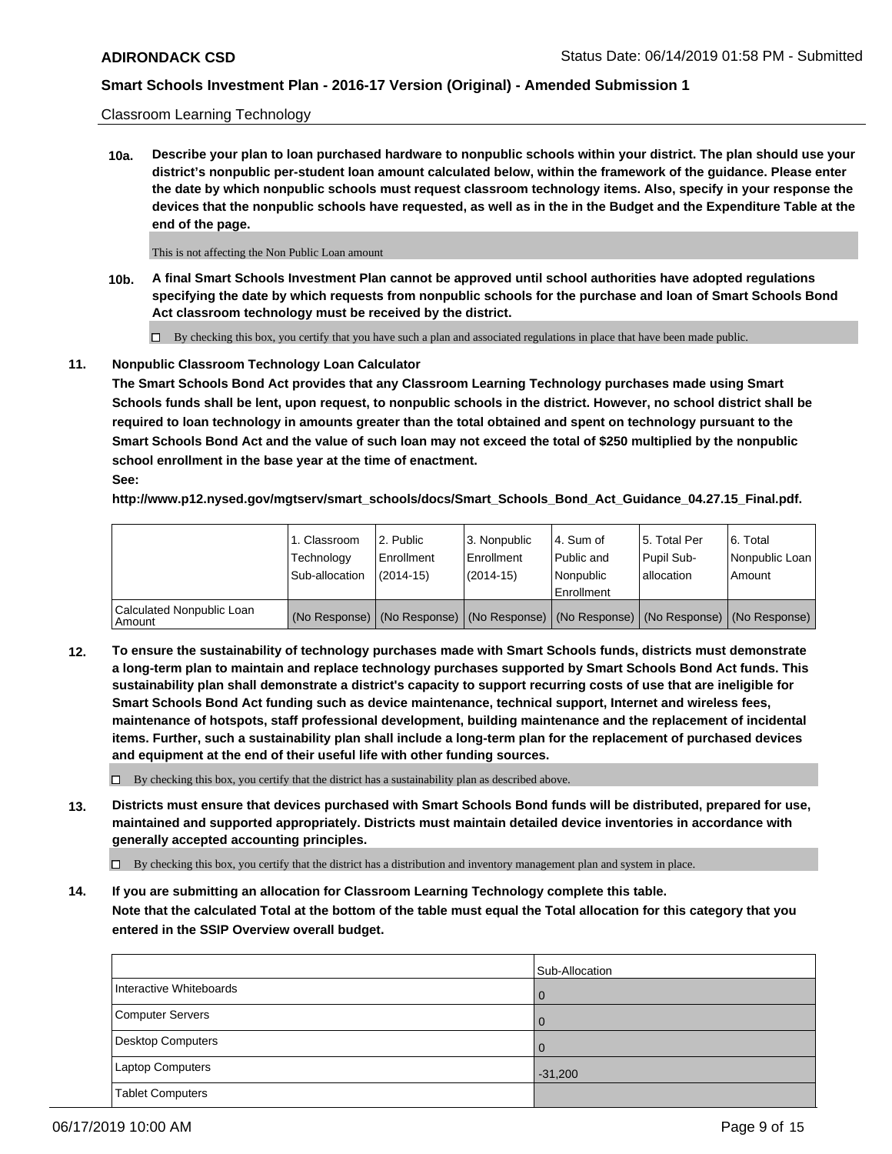Classroom Learning Technology

**10a. Describe your plan to loan purchased hardware to nonpublic schools within your district. The plan should use your district's nonpublic per-student loan amount calculated below, within the framework of the guidance. Please enter the date by which nonpublic schools must request classroom technology items. Also, specify in your response the devices that the nonpublic schools have requested, as well as in the in the Budget and the Expenditure Table at the end of the page.**

This is not affecting the Non Public Loan amount

**10b. A final Smart Schools Investment Plan cannot be approved until school authorities have adopted regulations specifying the date by which requests from nonpublic schools for the purchase and loan of Smart Schools Bond Act classroom technology must be received by the district.**

 $\Box$  By checking this box, you certify that you have such a plan and associated regulations in place that have been made public.

### **11. Nonpublic Classroom Technology Loan Calculator**

**The Smart Schools Bond Act provides that any Classroom Learning Technology purchases made using Smart Schools funds shall be lent, upon request, to nonpublic schools in the district. However, no school district shall be required to loan technology in amounts greater than the total obtained and spent on technology pursuant to the Smart Schools Bond Act and the value of such loan may not exceed the total of \$250 multiplied by the nonpublic school enrollment in the base year at the time of enactment. See:**

**http://www.p12.nysed.gov/mgtserv/smart\_schools/docs/Smart\_Schools\_Bond\_Act\_Guidance\_04.27.15\_Final.pdf.**

|                                       | 1. Classroom<br>Technology<br>Sub-allocation | 2. Public<br>Enrollment<br>$(2014-15)$ | 3. Nonpublic<br>Enrollment<br>$(2014-15)$ | l 4. Sum of<br>Public and<br>l Nonpublic<br>Enrollment                                        | 15. Total Per<br>Pupil Sub-<br>allocation | 6. Total<br>Nonpublic Loan<br>Amount |
|---------------------------------------|----------------------------------------------|----------------------------------------|-------------------------------------------|-----------------------------------------------------------------------------------------------|-------------------------------------------|--------------------------------------|
| Calculated Nonpublic Loan<br>l Amount |                                              |                                        |                                           | (No Response)   (No Response)   (No Response)   (No Response)   (No Response)   (No Response) |                                           |                                      |

**12. To ensure the sustainability of technology purchases made with Smart Schools funds, districts must demonstrate a long-term plan to maintain and replace technology purchases supported by Smart Schools Bond Act funds. This sustainability plan shall demonstrate a district's capacity to support recurring costs of use that are ineligible for Smart Schools Bond Act funding such as device maintenance, technical support, Internet and wireless fees, maintenance of hotspots, staff professional development, building maintenance and the replacement of incidental items. Further, such a sustainability plan shall include a long-term plan for the replacement of purchased devices and equipment at the end of their useful life with other funding sources.**

 $\Box$  By checking this box, you certify that the district has a sustainability plan as described above.

**13. Districts must ensure that devices purchased with Smart Schools Bond funds will be distributed, prepared for use, maintained and supported appropriately. Districts must maintain detailed device inventories in accordance with generally accepted accounting principles.**

By checking this box, you certify that the district has a distribution and inventory management plan and system in place.

**14. If you are submitting an allocation for Classroom Learning Technology complete this table. Note that the calculated Total at the bottom of the table must equal the Total allocation for this category that you entered in the SSIP Overview overall budget.**

|                         | Sub-Allocation |
|-------------------------|----------------|
| Interactive Whiteboards | $\Omega$       |
| Computer Servers        | $\Omega$       |
| Desktop Computers       | $\Omega$       |
| Laptop Computers        | $-31,200$      |
| <b>Tablet Computers</b> |                |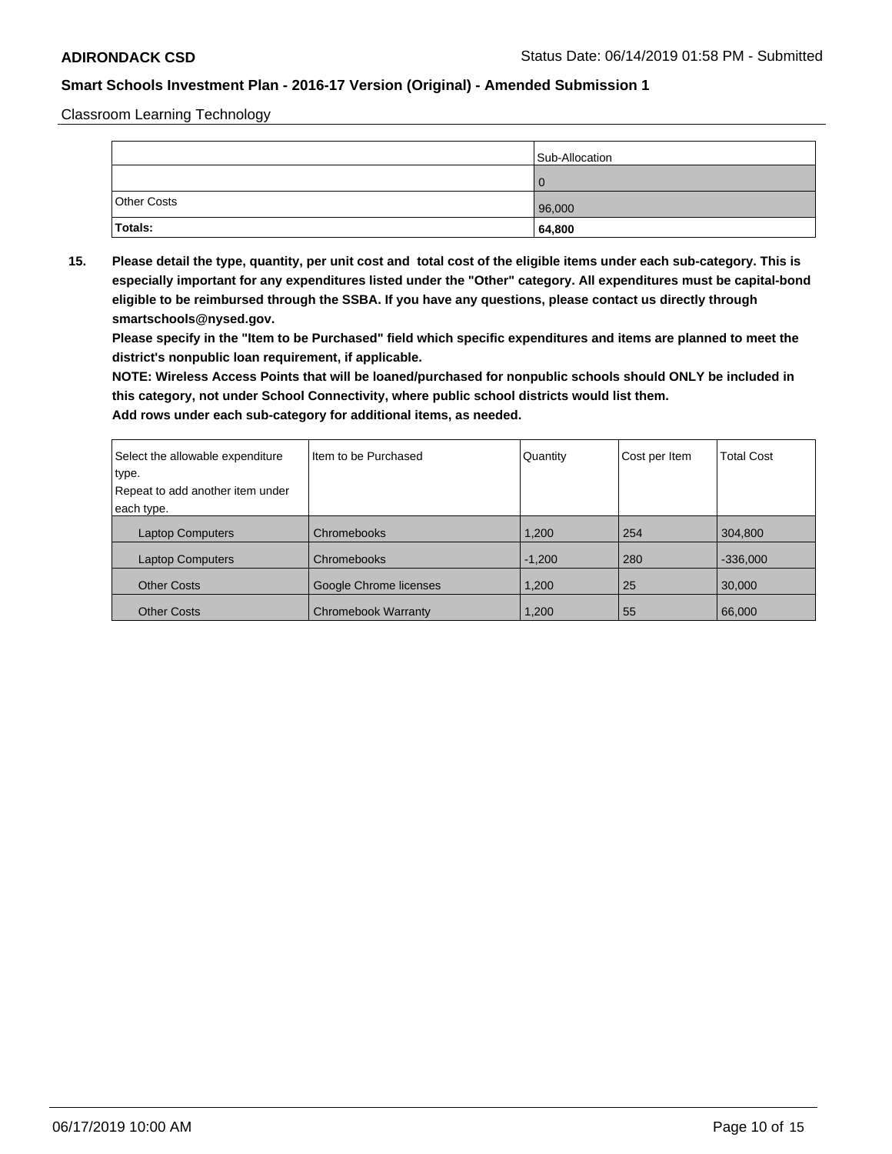Classroom Learning Technology

|                    | Sub-Allocation |
|--------------------|----------------|
|                    |                |
| <b>Other Costs</b> | 96,000         |
| Totals:            | 64,800         |

**15. Please detail the type, quantity, per unit cost and total cost of the eligible items under each sub-category. This is especially important for any expenditures listed under the "Other" category. All expenditures must be capital-bond eligible to be reimbursed through the SSBA. If you have any questions, please contact us directly through smartschools@nysed.gov.**

**Please specify in the "Item to be Purchased" field which specific expenditures and items are planned to meet the district's nonpublic loan requirement, if applicable.**

**NOTE: Wireless Access Points that will be loaned/purchased for nonpublic schools should ONLY be included in this category, not under School Connectivity, where public school districts would list them.**

| Select the allowable expenditure | Item to be Purchased   | Quantity | Cost per Item | <b>Total Cost</b> |
|----------------------------------|------------------------|----------|---------------|-------------------|
| type.                            |                        |          |               |                   |
| Repeat to add another item under |                        |          |               |                   |
| each type.                       |                        |          |               |                   |
| <b>Laptop Computers</b>          | Chromebooks            | 1.200    | 254           | 304.800           |
| <b>Laptop Computers</b>          | Chromebooks            | $-1,200$ | 280           | $-336,000$        |
| <b>Other Costs</b>               | Google Chrome licenses | 1,200    | 25            | 30,000            |
| <b>Other Costs</b>               | Chromebook Warranty    | 1.200    | 55            | 66,000            |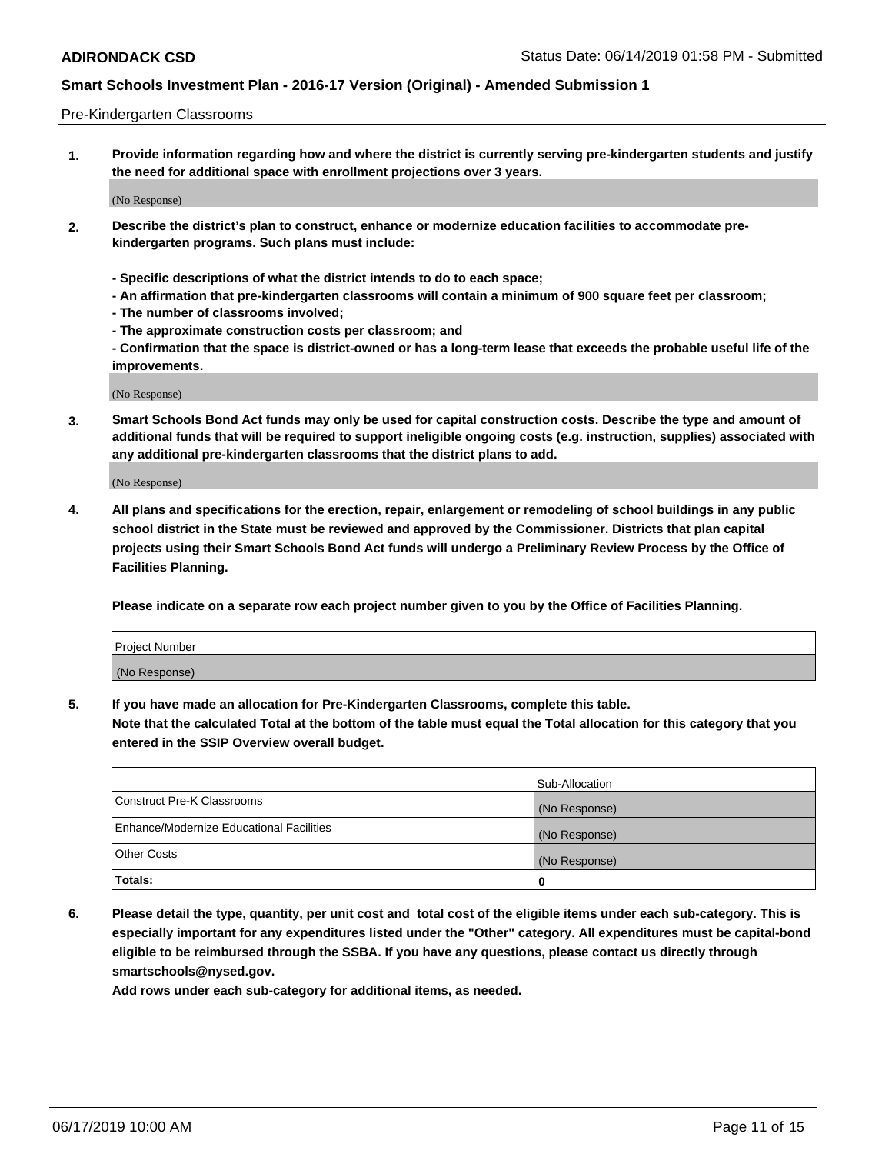#### Pre-Kindergarten Classrooms

**1. Provide information regarding how and where the district is currently serving pre-kindergarten students and justify the need for additional space with enrollment projections over 3 years.**

(No Response)

- **2. Describe the district's plan to construct, enhance or modernize education facilities to accommodate prekindergarten programs. Such plans must include:**
	- **Specific descriptions of what the district intends to do to each space;**
	- **An affirmation that pre-kindergarten classrooms will contain a minimum of 900 square feet per classroom;**
	- **The number of classrooms involved;**
	- **The approximate construction costs per classroom; and**
	- **Confirmation that the space is district-owned or has a long-term lease that exceeds the probable useful life of the improvements.**

(No Response)

**3. Smart Schools Bond Act funds may only be used for capital construction costs. Describe the type and amount of additional funds that will be required to support ineligible ongoing costs (e.g. instruction, supplies) associated with any additional pre-kindergarten classrooms that the district plans to add.**

(No Response)

**4. All plans and specifications for the erection, repair, enlargement or remodeling of school buildings in any public school district in the State must be reviewed and approved by the Commissioner. Districts that plan capital projects using their Smart Schools Bond Act funds will undergo a Preliminary Review Process by the Office of Facilities Planning.**

**Please indicate on a separate row each project number given to you by the Office of Facilities Planning.**

| Project Number |  |
|----------------|--|
| (No Response)  |  |
|                |  |

**5. If you have made an allocation for Pre-Kindergarten Classrooms, complete this table.**

**Note that the calculated Total at the bottom of the table must equal the Total allocation for this category that you entered in the SSIP Overview overall budget.**

|                                          | Sub-Allocation |
|------------------------------------------|----------------|
| Construct Pre-K Classrooms               | (No Response)  |
| Enhance/Modernize Educational Facilities | (No Response)  |
| <b>Other Costs</b>                       | (No Response)  |
| Totals:                                  | 0              |

**6. Please detail the type, quantity, per unit cost and total cost of the eligible items under each sub-category. This is especially important for any expenditures listed under the "Other" category. All expenditures must be capital-bond eligible to be reimbursed through the SSBA. If you have any questions, please contact us directly through smartschools@nysed.gov.**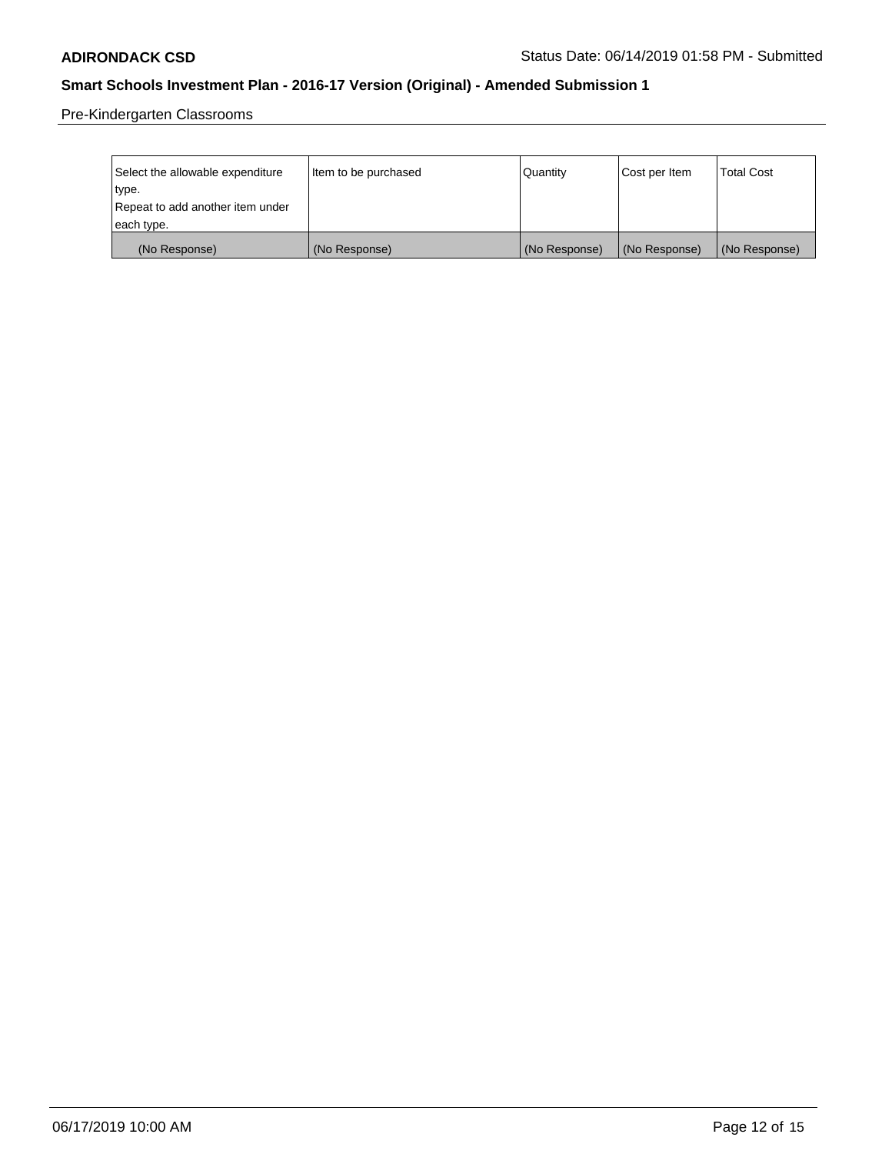Pre-Kindergarten Classrooms

| Select the allowable expenditure | Item to be purchased | Quantity      | Cost per Item | <b>Total Cost</b> |
|----------------------------------|----------------------|---------------|---------------|-------------------|
| type.                            |                      |               |               |                   |
| Repeat to add another item under |                      |               |               |                   |
| each type.                       |                      |               |               |                   |
| (No Response)                    | (No Response)        | (No Response) | (No Response) | (No Response)     |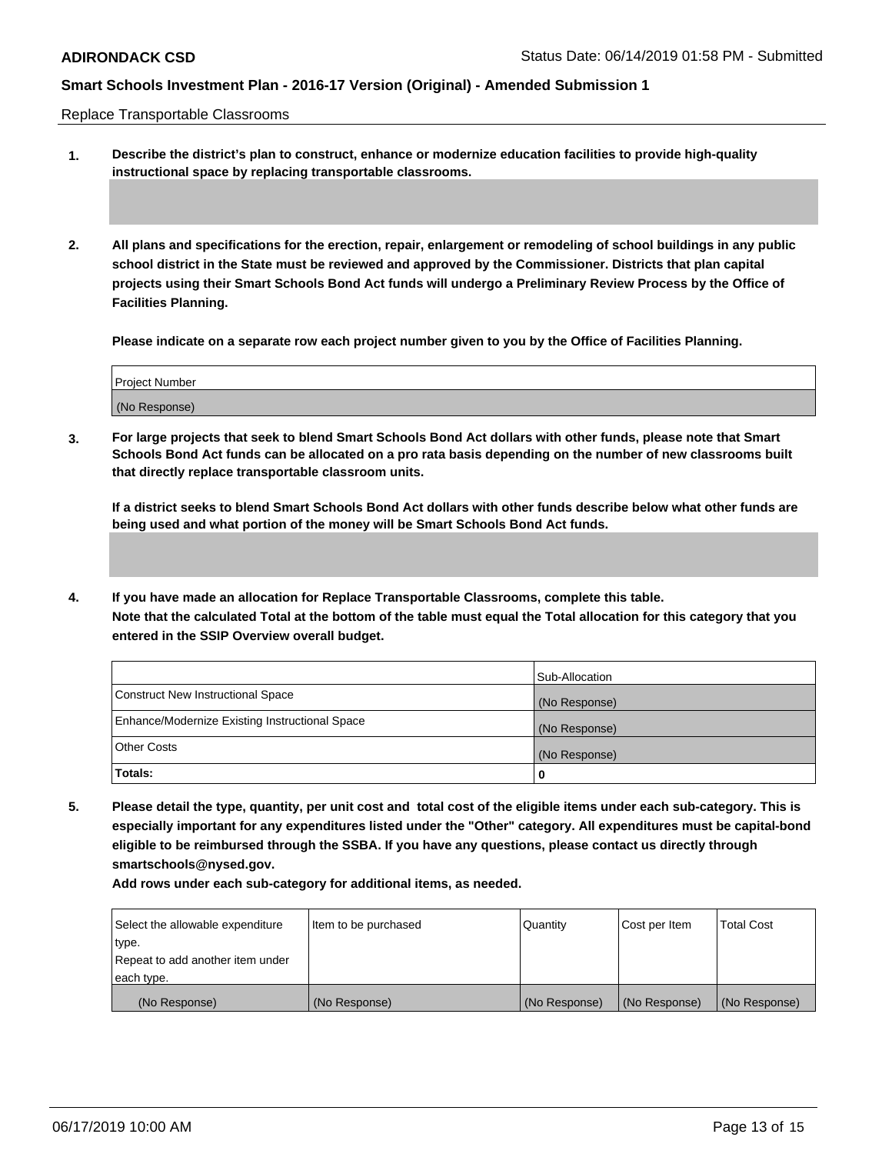Replace Transportable Classrooms

- **1. Describe the district's plan to construct, enhance or modernize education facilities to provide high-quality instructional space by replacing transportable classrooms.**
- **2. All plans and specifications for the erection, repair, enlargement or remodeling of school buildings in any public school district in the State must be reviewed and approved by the Commissioner. Districts that plan capital projects using their Smart Schools Bond Act funds will undergo a Preliminary Review Process by the Office of Facilities Planning.**

**Please indicate on a separate row each project number given to you by the Office of Facilities Planning.**

| (No Response) | Project Number |  |
|---------------|----------------|--|
|               |                |  |

**3. For large projects that seek to blend Smart Schools Bond Act dollars with other funds, please note that Smart Schools Bond Act funds can be allocated on a pro rata basis depending on the number of new classrooms built that directly replace transportable classroom units.**

**If a district seeks to blend Smart Schools Bond Act dollars with other funds describe below what other funds are being used and what portion of the money will be Smart Schools Bond Act funds.**

**4. If you have made an allocation for Replace Transportable Classrooms, complete this table. Note that the calculated Total at the bottom of the table must equal the Total allocation for this category that you entered in the SSIP Overview overall budget.**

|                                                | Sub-Allocation |
|------------------------------------------------|----------------|
| Construct New Instructional Space              | (No Response)  |
| Enhance/Modernize Existing Instructional Space | (No Response)  |
| Other Costs                                    | (No Response)  |
| <b>Totals:</b>                                 | 0              |

**5. Please detail the type, quantity, per unit cost and total cost of the eligible items under each sub-category. This is especially important for any expenditures listed under the "Other" category. All expenditures must be capital-bond eligible to be reimbursed through the SSBA. If you have any questions, please contact us directly through smartschools@nysed.gov.**

| Select the allowable expenditure | Item to be purchased | <b>Quantity</b> | Cost per Item | <b>Total Cost</b> |
|----------------------------------|----------------------|-----------------|---------------|-------------------|
| type.                            |                      |                 |               |                   |
| Repeat to add another item under |                      |                 |               |                   |
| each type.                       |                      |                 |               |                   |
| (No Response)                    | (No Response)        | (No Response)   | (No Response) | (No Response)     |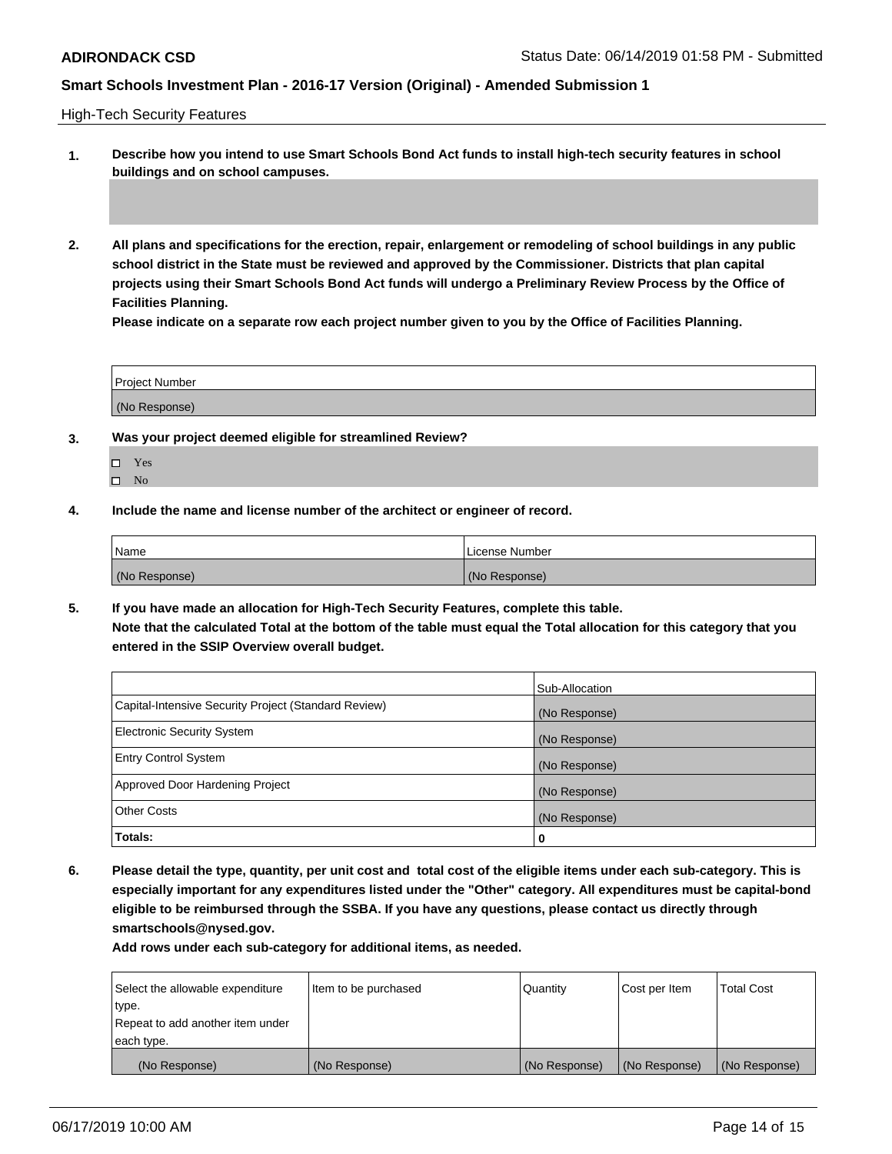High-Tech Security Features

- **1. Describe how you intend to use Smart Schools Bond Act funds to install high-tech security features in school buildings and on school campuses.**
- **2. All plans and specifications for the erection, repair, enlargement or remodeling of school buildings in any public school district in the State must be reviewed and approved by the Commissioner. Districts that plan capital projects using their Smart Schools Bond Act funds will undergo a Preliminary Review Process by the Office of Facilities Planning.**

**Please indicate on a separate row each project number given to you by the Office of Facilities Planning.**

| <b>Project Number</b> |  |
|-----------------------|--|
| (No Response)         |  |

- **3. Was your project deemed eligible for streamlined Review?**
	- Yes
	- $\square$  No
- **4. Include the name and license number of the architect or engineer of record.**

| Name          | License Number |
|---------------|----------------|
| (No Response) | (No Response)  |

**5. If you have made an allocation for High-Tech Security Features, complete this table. Note that the calculated Total at the bottom of the table must equal the Total allocation for this category that you entered in the SSIP Overview overall budget.**

|                                                      | Sub-Allocation |
|------------------------------------------------------|----------------|
| Capital-Intensive Security Project (Standard Review) | (No Response)  |
| <b>Electronic Security System</b>                    | (No Response)  |
| <b>Entry Control System</b>                          | (No Response)  |
| Approved Door Hardening Project                      | (No Response)  |
| <b>Other Costs</b>                                   | (No Response)  |
| Totals:                                              | $\bf{0}$       |

**6. Please detail the type, quantity, per unit cost and total cost of the eligible items under each sub-category. This is especially important for any expenditures listed under the "Other" category. All expenditures must be capital-bond eligible to be reimbursed through the SSBA. If you have any questions, please contact us directly through smartschools@nysed.gov.**

| Select the allowable expenditure | Item to be purchased | Quantity      | Cost per Item | <b>Total Cost</b> |
|----------------------------------|----------------------|---------------|---------------|-------------------|
| type.                            |                      |               |               |                   |
| Repeat to add another item under |                      |               |               |                   |
| each type.                       |                      |               |               |                   |
| (No Response)                    | (No Response)        | (No Response) | (No Response) | (No Response)     |